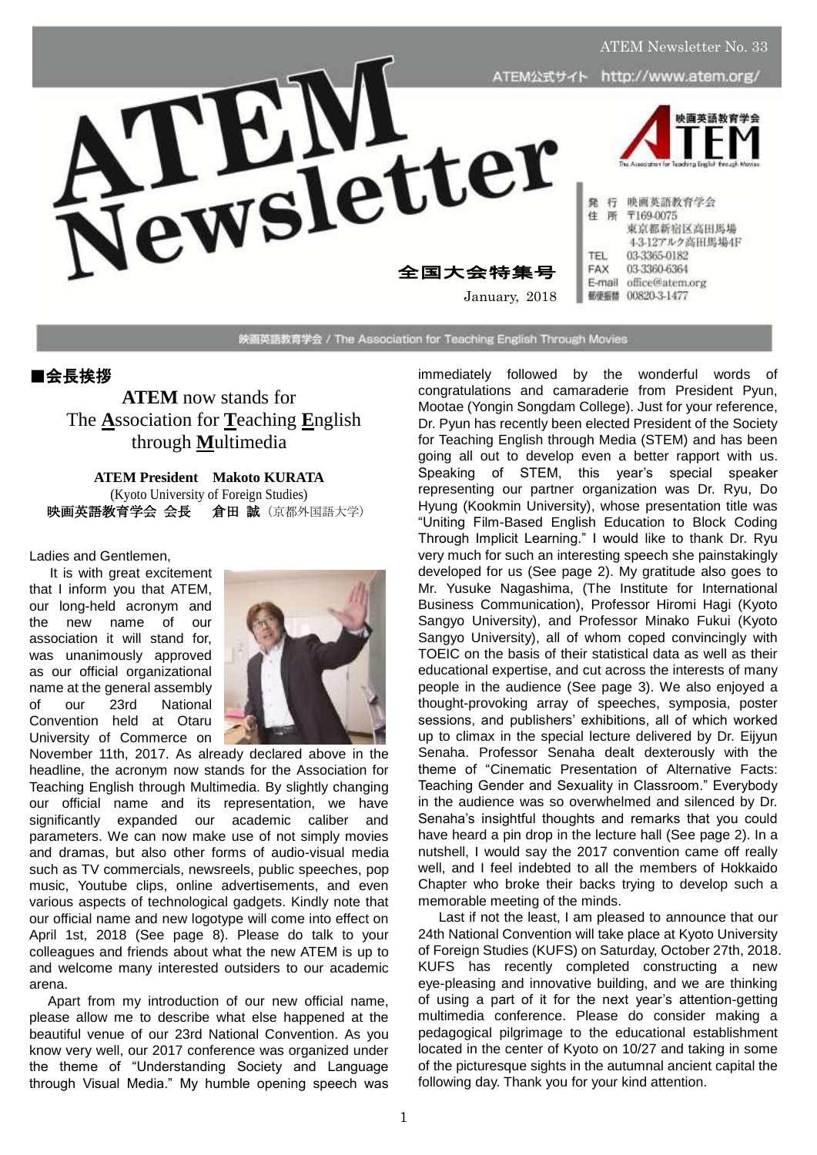

映画英語教育学会 / The Association for Teaching English Through Movies

#### ■会長挨拶

**ATEM** now stands for The **A**ssociation for **T**eaching **E**nglish through **M**ultimedia

**ATEM President Makoto KURATA** (Kyoto University of Foreign Studies) 映画英語教育学会 会長倉田 誠(京都外国語大学)

Ladies and Gentlemen,

It is with great excitement that I inform you that ATEM, our long-held acronym and the new name of our association it will stand for, was unanimously approved as our official organizational name at the general assembly of our 23rd National Convention held at Otaru University of Commerce on



November 11th, 2017. As already declared above in the headline, the acronym now stands for the Association for Teaching English through Multimedia. By slightly changing our official name and its representation, we have significantly expanded our academic caliber and parameters. We can now make use of not simply movies and dramas, but also other forms of audio-visual media such as TV commercials, newsreels, public speeches, pop music, Youtube clips, online advertisements, and even various aspects of technological gadgets. Kindly note that our official name and new logotype will come into effect on April 1st, 2018 (See page 8). Please do talk to your colleagues and friends about what the new ATEM is up to and welcome many interested outsiders to our academic arena.

Apart from my introduction of our new official name, please allow me to describe what else happened at the beautiful venue of our 23rd National Convention. As you know very well, our 2017 conference was organized under the theme of "Understanding Society and Language through Visual Media." My humble opening speech was

immediately followed by the wonderful words of congratulations and camaraderie from President Pyun, Mootae (Yongin Songdam College). Just for your reference, Dr. Pyun has recently been elected President of the Society for Teaching English through Media (STEM) and has been going all out to develop even a better rapport with us. Speaking of STEM, this year's special speaker representing our partner organization was Dr. Ryu, Do Hyung (Kookmin University), whose presentation title was "Uniting Film-Based English Education to Block Coding Through Implicit Learning." I would like to thank Dr. Ryu very much for such an interesting speech she painstakingly developed for us (See page 2). My gratitude also goes to Mr. Yusuke Nagashima, (The Institute for International Business Communication), Professor Hiromi Hagi (Kyoto Sangyo University), and Professor Minako Fukui (Kyoto Sangyo University), all of whom coped convincingly with TOEIC on the basis of their statistical data as well as their educational expertise, and cut across the interests of many people in the audience (See page 3). We also enjoyed a thought-provoking array of speeches, symposia, poster sessions, and publishers' exhibitions, all of which worked up to climax in the special lecture delivered by Dr. Eijyun Senaha. Professor Senaha dealt dexterously with the theme of "Cinematic Presentation of Alternative Facts: Teaching Gender and Sexuality in Classroom." Everybody in the audience was so overwhelmed and silenced by Dr. Senaha's insightful thoughts and remarks that you could have heard a pin drop in the lecture hall (See page 2). In a nutshell, I would say the 2017 convention came off really well, and I feel indebted to all the members of Hokkaido Chapter who broke their backs trying to develop such a memorable meeting of the minds.

Last if not the least, I am pleased to announce that our 24th National Convention will take place at Kyoto University of Foreign Studies (KUFS) on Saturday, October 27th, 2018. KUFS has recently completed constructing a new eye-pleasing and innovative building, and we are thinking of using a part of it for the next year's attention-getting multimedia conference. Please do consider making a pedagogical pilgrimage to the educational establishment located in the center of Kyoto on 10/27 and taking in some of the picturesque sights in the autumnal ancient capital the following day. Thank you for your kind attention.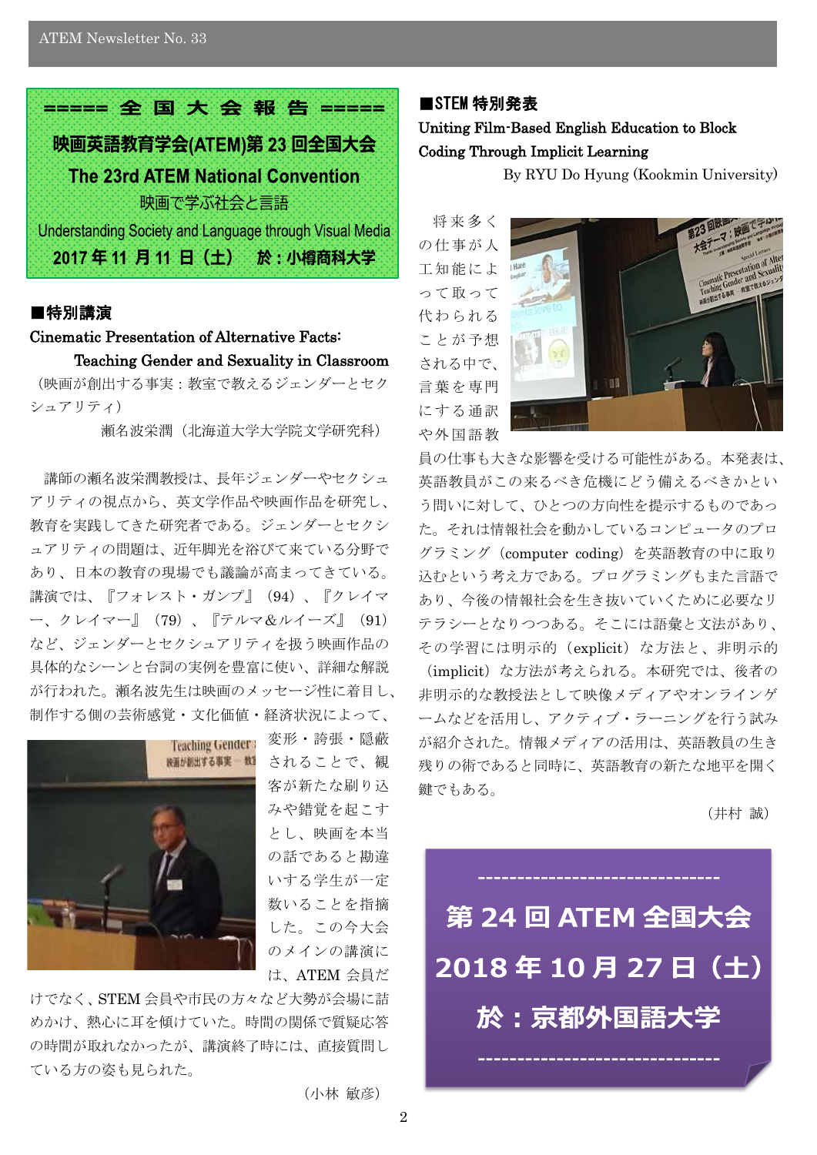

# ■特別講演

# Cinematic Presentation of Alternative Facts: Teaching Gender and Sexuality in Classroom

(映画が創出する事実:教室で教えるジェンダーとセク シュアリティ)

瀬名波栄潤(北海道大学大学院文学研究科)

講師の瀬名波栄潤教授は、長年ジェンダーやセクシュ アリティの視点から、英文学作品や映画作品を研究し、 教育を実践してきた研究者である。ジェンダーとセクシ ュアリティの問題は、近年脚光を浴びて来ている分野で あり、日本の教育の現場でも議論が高まってきている。 講演では、『フォレスト・ガンプ』(94)、『クレイマ ー、クレイマー』(79)、『テルマ&ルイーズ』(91) など、ジェンダーとセクシュアリティを扱う映画作品の 具体的なシーンと台詞の実例を豊富に使い、詳細な解説 が行われた。瀬名波先生は映画のメッセージ性に着目し、 制作する側の芸術感覚・文化価値・経済状況によって、



変形・誇張・隠蔽 されることで、観 客が新たな刷り込 みや錯覚を起こす とし、映画を本当 の話であると勘違 いする学生が一定 数いることを指摘 した。この今大会 のメインの講演に は、ATEM 会員だ

けでなく、STEM 会員や市民の方々など大勢が会場に詰 めかけ、熱心に耳を傾けていた。時間の関係で質疑応答 の時間が取れなかったが、講演終了時には、直接質問し ている方の姿も見られた。

#### (小林 敏彦)

# ■STEM 特別発表 Uniting Film-Based English Education to Block Coding Through Implicit Learning

By RYU Do Hyung (Kookmin University)

将来多く の仕事が人 工知能によ って取って 代わられる ことが予想 される中で、 言葉を専門 にする通訳 や外国語教



員の仕事も大きな影響を受ける可能性がある。本発表は、 英語教員がこの来るべき危機にどう備えるべきかとい う問いに対して、ひとつの方向性を提示するものであっ た。それは情報社会を動かしているコンピュータのプロ グラミング(computer coding)を英語教育の中に取り 込むという考え方である。プログラミングもまた言語で あり、今後の情報社会を生き抜いていくために必要なリ テラシーとなりつつある。そこには語彙と文法があり、 その学習には明示的(explicit)な方法と、非明示的 (implicit)な方法が考えられる。本研究では、後者の 非明示的な教授法として映像メディアやオンラインゲ ームなどを活用し、アクティブ・ラーニングを行う試み が紹介された。情報メディアの活用は、英語教員の生き 残りの術であると同時に、英語教育の新たな地平を開く 鍵でもある。

(井村 誠)

# 第 24 回 ATEM 全国大会 2018年10月27日(土) 於:京都外国語大学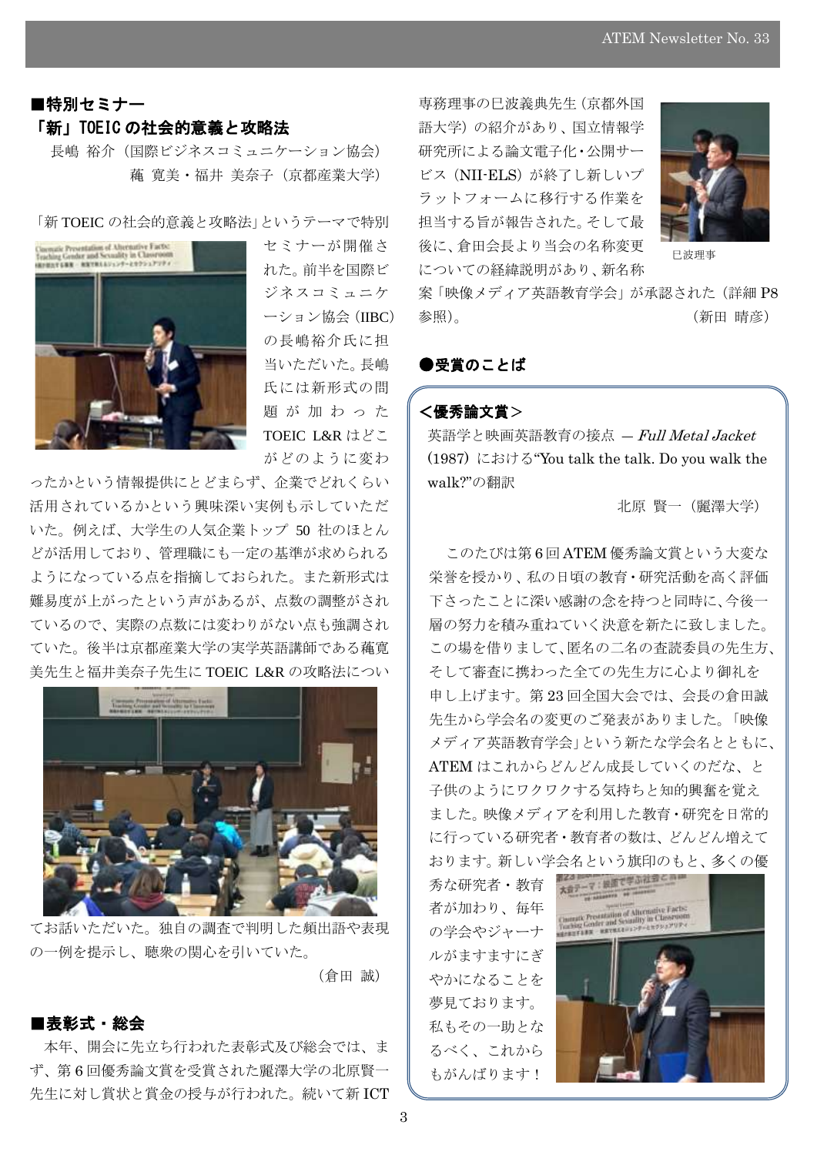# ■特別セミナー 「新」TOEIC の社会的意義と攻略法

長嶋 裕介(国際ビジネスコミュニケーション協会) 蘒 寛美・福井 美奈子(京都産業大学)

「新 TOEIC の社会的意義と攻略法」というテーマで特別



セミナーが開催さ れた。前半を国際ビ ジネスコミュニケ ーション協会(IIBC) の長嶋裕介氏に担 当いただいた。長嶋 氏には新形式の問 題 が 加 わ っ た TOEIC L&R はどこ がどのように変わ

ったかという情報提供にとどまらず、企業でどれくらい 活用されているかという興味深い実例も示していただ いた。例えば、大学生の人気企業トップ 50 社のほとん どが活用しており、管理職にも一定の基準が求められる ようになっている点を指摘しておられた。また新形式は 難易度が上がったという声があるが、点数の調整がされ ているので、実際の点数には変わりがない点も強調され ていた。後半は京都産業大学の実学英語講師である蘒寛 美先生と福井美奈子先生に TOEIC L&R の攻略法につい



てお話いただいた。独自の調査で判明した頻出語や表現 の一例を提示し、聴衆の関心を引いていた。

# (倉田 誠)

# ■表彰式・総会

本年、開会に先立ち行われた表彰式及び総会では、ま ず、第 6 回優秀論文賞を受賞された麗澤大学の北原賢一 先生に対し賞状と賞金の授与が行われた。続いて新 ICT

専務理事の巳波義典先生(京都外国 語大学)の紹介があり、国立情報学 研究所による論文電子化・公開サー ビス(NII-ELS)が終了し新しいプ ラットフォームに移行する作業を 担当する旨が報告された。そして最 後に、倉田会長より当会の名称変更 についての経緯説明があり、新名称



巳波理事

案「映像メディア英語教育学会」が承認された(詳細 P8 参照)。 (第四 )

## ●受賞のことば

## <優秀論文賞>

 $\overline{a}$ 

英語学と映画英語教育の接点 ― Full Metal Jacket (1987) における"You talk the talk. Do you walk the walk?"の翻訳

北原 賢一(麗澤大学)

このたびは第 6 回 ATEM 優秀論文賞という大変な 栄誉を授かり、私の日頃の教育・研究活動を高く評価 下さったことに深い感謝の念を持つと同時に、今後一 層の努力を積み重ねていく決意を新たに致しました。 この場を借りまして、匿名の二名の査読委員の先生方、 そして審査に携わった全ての先生方に心より御礼を 申し上げます。第 23 回全国大会では、会長の倉田誠 先生から学会名の変更のご発表がありました。「映像 メディア英語教育学会」という新たな学会名とともに、 ATEM はこれからどんどん成長していくのだな、と 子供のようにワクワクする気持ちと知的興奮を覚え ました。映像メディアを利用した教育・研究を日常的 に行っている研究者・教育者の数は、どんどん増えて おります。新しい学会名という旗印のもと、多くの優

秀な研究者・教育 者が加わり、毎年 の学会やジャーナ ルがますますにぎ やかになることを 夢見ております。 私もその一助とな るべく、これから もがんばります!

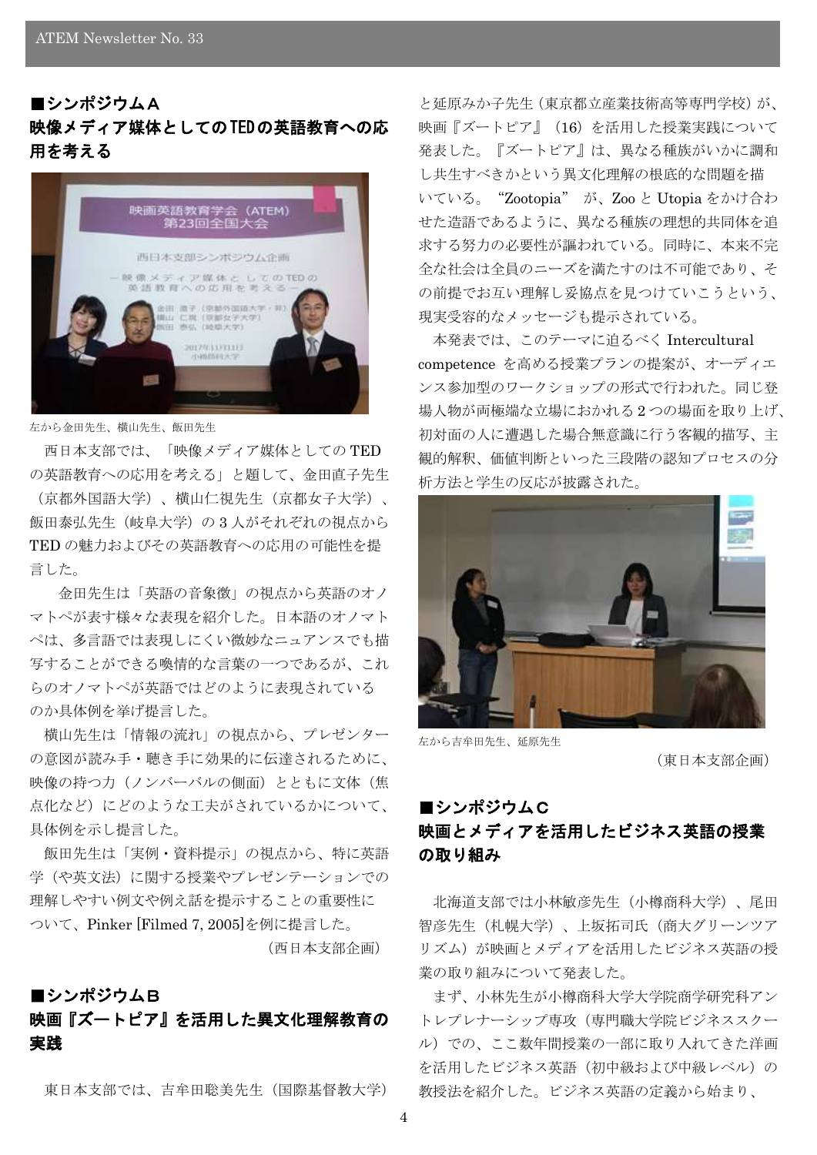# ■シンポジウムA 映像メディア媒体としてのTEDの英語教育への応 用を考える



#### 左から金田先生、横山先生、飯田先生

西日本支部では、「映像メディア媒体としての TED の英語教育への応用を考える」と題して、金田直子先生

(京都外国語大学)、横山仁視先生(京都女子大学)、 飯田泰弘先生(岐阜大学)の 3 人がそれぞれの視点から TED の魅力およびその英語教育への応用の可能性を提 言した。

金田先生は「英語の音象徴」の視点から英語のオノ マトペが表す様々な表現を紹介した。日本語のオノマト ペは、多言語では表現しにくい微妙なニュアンスでも描 写することができる喚情的な言葉の一つであるが、これ らのオノマトペが英語ではどのように表現されている のか具体例を挙げ提言した。

横山先生は「情報の流れ」の視点から、プレゼンター の意図が読み手・聴き手に効果的に伝達されるために、 映像の持つ力(ノンバーバルの側面)とともに文体(焦 点化など)にどのような工夫がされているかについて、 具体例を示し提言した。

飯田先生は「実例・資料提示」の視点から、特に英語 学(や英文法)に関する授業やプレゼンテーションでの 理解しやすい例文や例え話を提示することの重要性に ついて、Pinker [Filmed 7, 2005]を例に提言した。

(西日本支部企画)

# ■シンポジウムB

# 映画『ズートピア』を活用した異文化理解教育の 実践

東日本支部では、吉牟田聡美先生(国際基督教大学)

と延原みか子先生(東京都立産業技術高等専門学校)が、 映画『ズートピア』(16)を活用した授業実践について 発表した。『ズートピア』は、異なる種族がいかに調和 し共生すべきかという異文化理解の根底的な問題を描 いている。"Zootopia" が、Zoo と Utopia をかけ合わ せた造語であるように、異なる種族の理想的共同体を追 求する努力の必要性が謳われている。同時に、本来不完 全な社会は全員のニーズを満たすのは不可能であり、そ の前提でお互い理解し妥協点を見つけていこうという、 現実受容的なメッセージも提示されている。

本発表では、このテーマに迫るべく Intercultural competence を高める授業プランの提案が、オーディエ ンス参加型のワークショップの形式で行われた。同じ登 場人物が両極端な立場におかれる 2 つの場面を取り上げ、 初対面の人に遭遇した場合無意識に行う客観的描写、主 観的解釈、価値判断といった三段階の認知プロセスの分 析方法と学生の反応が披露された。



左から吉牟田先生、延原先生

(東日本支部企画)

# ■シンポジウムC 映画とメディアを活用したビジネス英語の授業 の取り組み

北海道支部では小林敏彦先生(小樽商科大学)、尾田 智彦先生(札幌大学)、上坂拓司氏(商大グリーンツア リズム)が映画とメディアを活用したビジネス英語の授 業の取り組みについて発表した。

まず、小林先生が小樽商科大学大学院商学研究科アン トレプレナーシップ専攻(専門職大学院ビジネススクー ル)での、ここ数年間授業の一部に取り入れてきた洋画 を活用したビジネス英語(初中級および中級レベル)の 教授法を紹介した。ビジネス英語の定義から始まり、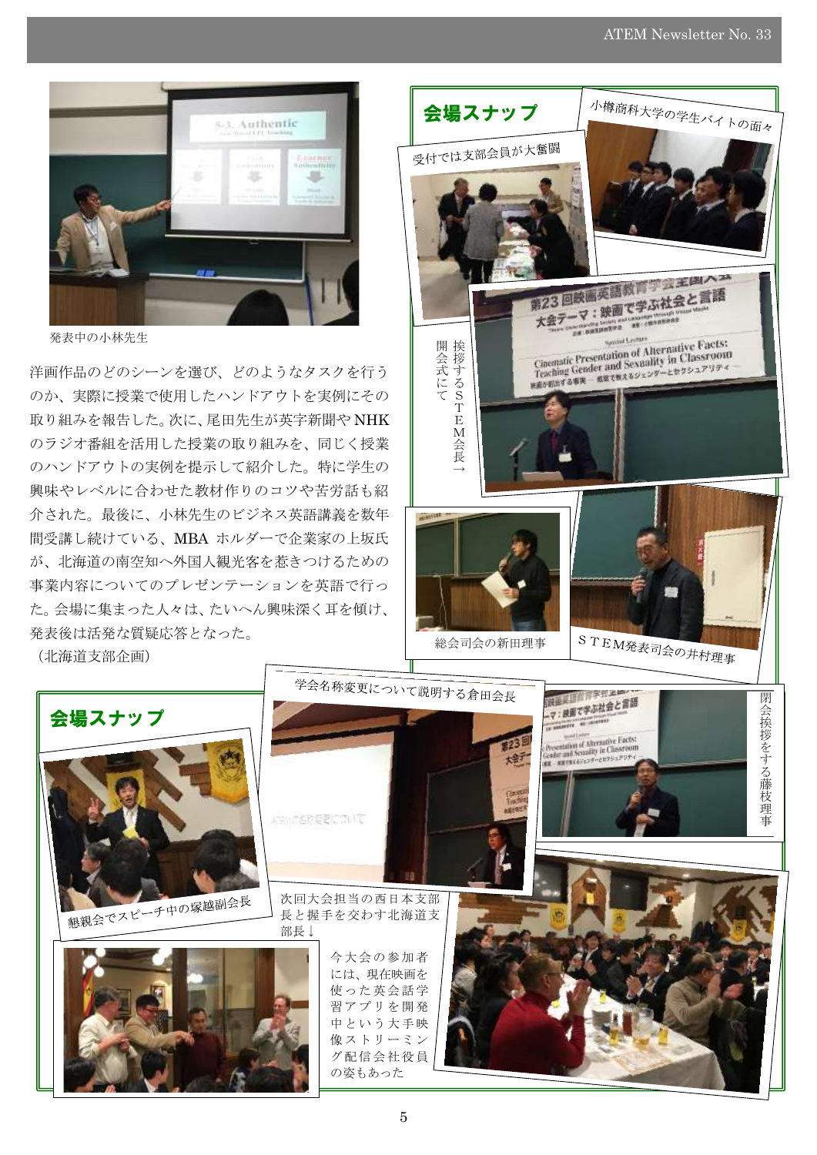

発表中の小林先生

洋画作品のどのシーンを選び、どのようなタスクを行う のか、実際に授業で使用したハンドアウトを実例にその 取り組みを報告した。次に、尾田先生が英字新聞や NHK のラジオ番組を活用した授業の取り組みを、同じく授業 のハンドアウトの実例を提示して紹介した。特に学生の 興味やレベルに合わせた教材作りのコツや苦労話も紹 介された。最後に、小林先生のビジネス英語講義を数年 間受講し続けている、MBA ホルダーで企業家の上坂氏 が、北海道の南空知へ外国人観光客を惹きつけるための 事業内容についてのプレゼンテーションを英語で行っ た。会場に集まった人々は、たいへん興味深く耳を傾け、 発表後は活発な質疑応答となった。

(北海道支部企画)

会場スナップ



の姿もあった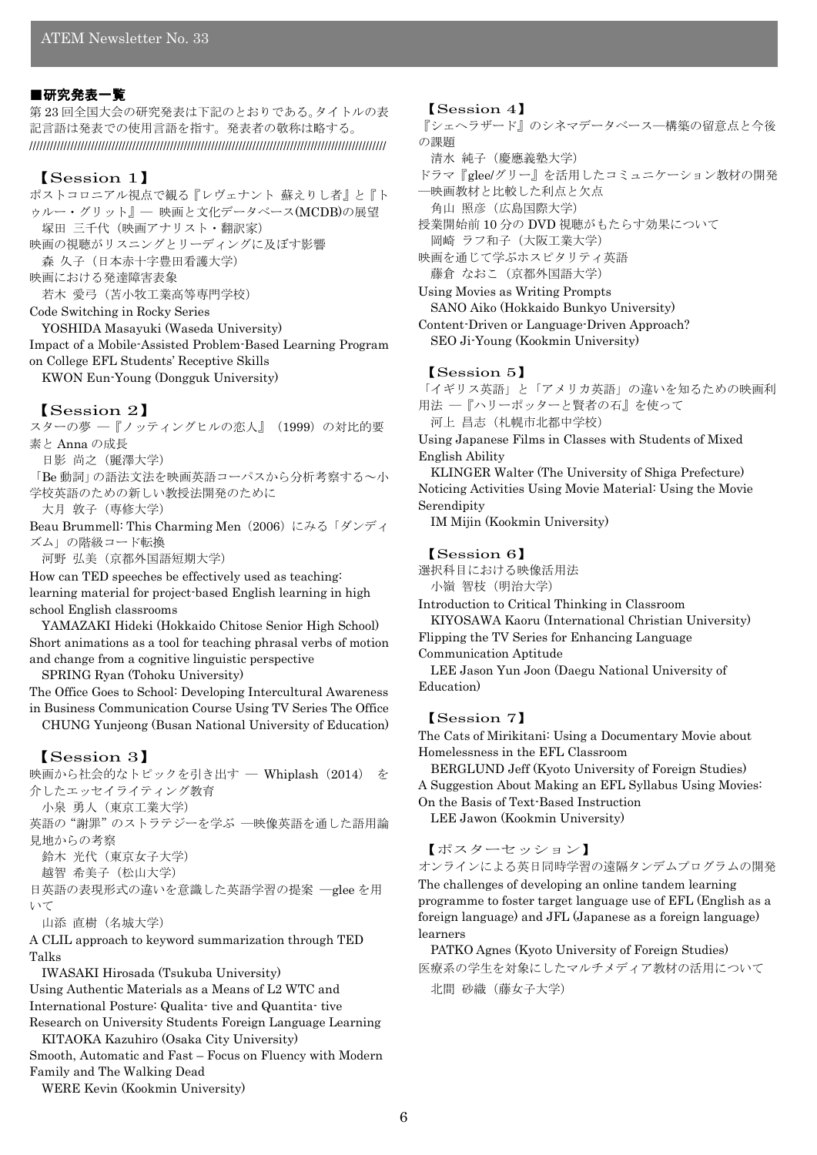#### ■研究発表一覧

第 23 回全国大会の研究発表は下記のとおりである。タイトルの表 記言語は発表での使用言語を指す。発表者の敬称は略する。 ////////////////////////////////////////////////////////////////////////////////////////////////////////

## 【Session 1】

ポストコロニアル視点で観る『レヴェナント 蘇えりし者』と『ト ゥルー・グリット』― 映画と文化データベース(MCDB)の展望 塚田 三千代(映画アナリスト・翻訳家) 映画の視聴がリスニングとリーディングに及ぼす影響 森 久子(日本赤十字豊田看護大学) 映画における発達障害表象 若木 愛弓(苫小牧工業高等専門学校) Code Switching in Rocky Series YOSHIDA Masayuki (Waseda University) Impact of a Mobile-Assisted Problem-Based Learning Program

on College EFL Students' Receptive Skills KWON Eun-Young (Dongguk University)

#### 【Session 2】

スターの夢 – 『ノッティングヒルの恋人』 (1999) の対比的要 素と Anna の成長 日影 尚之(麗澤大学) 「Be 動詞」の語法文法を映画英語コーパスから分析考察する~小 学校英語のための新しい教授法開発のために 大月 敦子(専修大学)

Beau Brummell: This Charming Men(2006)にみる「ダンディ ズム」の階級コード転換

河野 弘美(京都外国語短期大学)

How can TED speeches be effectively used as teaching: learning material for project-based English learning in high school English classrooms

YAMAZAKI Hideki (Hokkaido Chitose Senior High School) Short animations as a tool for teaching phrasal verbs of motion and change from a cognitive linguistic perspective

SPRING Ryan (Tohoku University)

The Office Goes to School: Developing Intercultural Awareness in Business Communication Course Using TV Series The Office CHUNG Yunjeong (Busan National University of Education)

#### 【Session 3】

映画から社会的なトピックを引き出す – Whiplash (2014) を 介したエッセイライティング教育 小泉 勇人(東京工業大学) 英語の"謝罪"のストラテジーを学ぶ ―映像英語を通した語用論 見地からの考察 鈴木 光代(東京女子大学)

越智 希美子(松山大学)

日英語の表現形式の違いを意識した英語学習の提案 ―glee を用 いて

山添 直樹(名城大学)

A CLIL approach to keyword summarization through TED Talks

IWASAKI Hirosada (Tsukuba University) Using Authentic Materials as a Means of L2 WTC and International Posture: Qualita- tive and Quantita- tive Research on University Students Foreign Language Learning KITAOKA Kazuhiro (Osaka City University)

Smooth, Automatic and Fast – Focus on Fluency with Modern Family and The Walking Dead

WERE Kevin (Kookmin University)

#### 【Session 4】

『シェヘラザード』のシネマデータベース―構築の留意点と今後 の課題

清水 純子(慶應義塾大学)

ドラマ『glee/グリー』を活用したコミュニケーション教材の開発 ―映画教材と比較した利点と欠点 角山 照彦(広島国際大学)

授業開始前 10 分の DVD 視聴がもたらす効果について 岡崎 ラフ和子(大阪工業大学)

映画を通じて学ぶホスピタリティ英語 藤倉 なおこ(京都外国語大学)

Using Movies as Writing Prompts SANO Aiko (Hokkaido Bunkyo University) Content-Driven or Language-Driven Approach?

SEO Ji-Young (Kookmin University)

#### 【Session 5】

「イギリス英語」と「アメリカ英語」の違いを知るための映画利 用法 ―『ハリーポッターと賢者の石』を使って 河上 昌志(札幌市北都中学校)

Using Japanese Films in Classes with Students of Mixed English Ability

KLINGER Walter (The University of Shiga Prefecture) Noticing Activities Using Movie Material: Using the Movie Serendipity

IM Mijin (Kookmin University)

#### 【Session 6】

選択科目における映像活用法 小嶺 智枝(明治大学)

Introduction to Critical Thinking in Classroom KIYOSAWA Kaoru (International Christian University) Flipping the TV Series for Enhancing Language

Communication Aptitude

LEE Jason Yun Joon (Daegu National University of Education)

#### 【Session 7】

The Cats of Mirikitani: Using a Documentary Movie about Homelessness in the EFL Classroom

BERGLUND Jeff (Kyoto University of Foreign Studies) A Suggestion About Making an EFL Syllabus Using Movies: On the Basis of Text-Based Instruction

LEE Jawon (Kookmin University)

## 【ポスターセッション】

オンラインによる英日同時学習の遠隔タンデムプログラムの開発 The challenges of developing an online tandem learning programme to foster target language use of EFL (English as a foreign language) and JFL (Japanese as a foreign language)

learners PATKO Agnes (Kyoto University of Foreign Studies) 医療系の学生を対象にしたマルチメディア教材の活用について

北間 砂織(藤女子大学)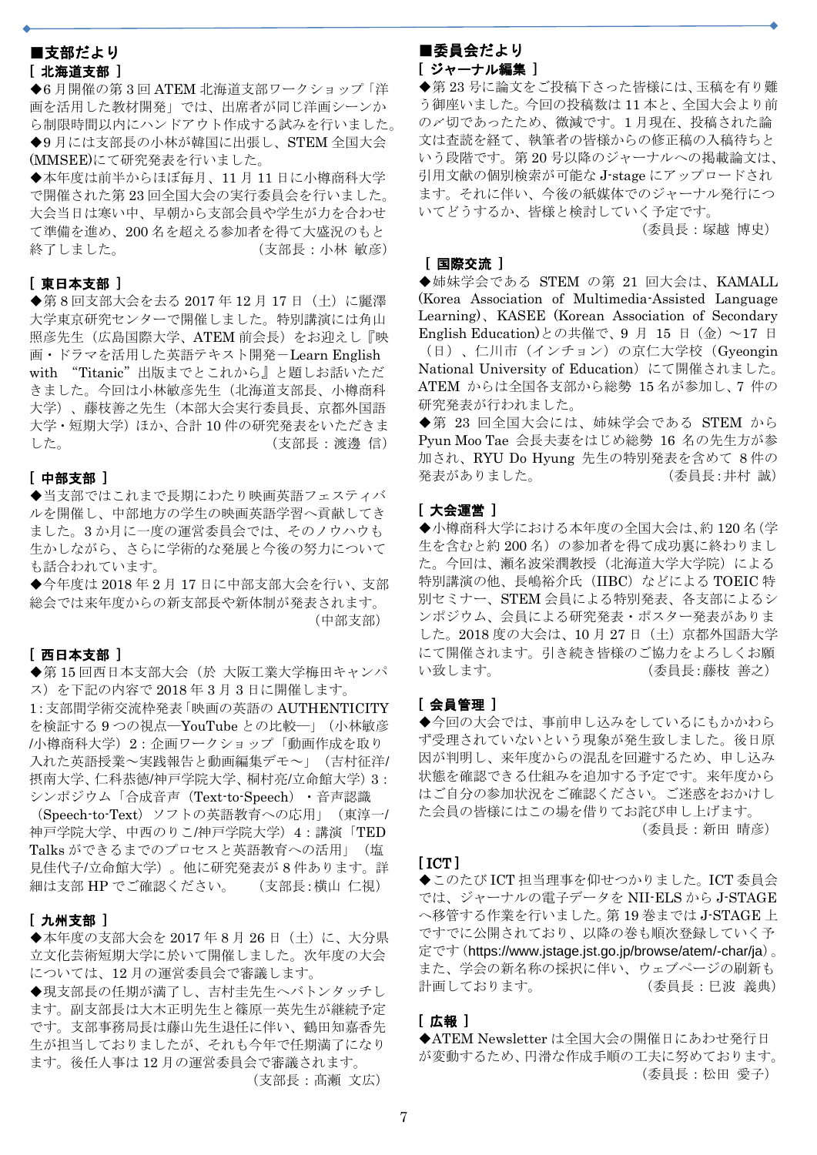# ■支部だより [ 北海道支部 ]

H

◆6 月開催の第 3 回 ATEM 北海道支部ワークショップ「洋 画を活用した教材開発」では、出席者が同じ洋画シーンか ら制限時間以内にハンドアウト作成する試みを行いました。 ◆9月には支部長の小林が韓国に出張し、STEM 全国大会 (MMSEE)にて研究発表を行いました。

◆本年度は前半からほぼ毎月、11月11日に小樽商科大学 で開催された第 23 回全国大会の実行委員会を行いました。 大会当日は寒い中、早朝から支部会員や学生が力を合わせ て準備を進め、200 名を超える参加者を得て大盛況のもと 終了しました。 (支部長:小林 敏彦)

#### [ 東日本支部 ]

◆第8回支部大会を去る 2017年12月17日 (土)に麗澤 大学東京研究センターで開催しました。特別講演には角山 照彦先生(広島国際大学、ATEM 前会長)をお迎えし『映 画・ドラマを活用した英語テキスト開発-Learn English with "Titanic"出版までとこれから』と題しお話いただ きました。今回は小林敏彦先生(北海道支部長、小樽商科 大学)、藤枝善之先生(本部大会実行委員長、京都外国語 大学・短期大学)ほか、合計10件の研究発表をいただきま した。 カランス インディング (支部長:渡邊信)

## [ 中部支部 ]

◆当支部ではこれまで長期にわたり映画英語フェスティバ ルを開催し、中部地方の学生の映画英語学習へ貢献してき ました。3 か月に一度の運営委員会では、そのノウハウも 生かしながら、さらに学術的な発展と今後の努力について も話合われています。

◆今年度は 2018年2月17日に中部支部大会を行い、支部 総会では来年度からの新支部長や新体制が発表されます。 (中部支部)

#### [ 西日本支部 ]

◆第15回西日本支部大会(於 大阪工業大学梅田キャンパ ス)を下記の内容で 2018 年 3 月 3 日に開催します。 1:支部間学術交流枠発表「映画の英語の AUTHENTICITY を検証する 9 つの視点―YouTube との比較―」(小林敏彦 /小樽商科大学)2:企画ワークショップ「動画作成を取り 入れた英語授業~実践報告と動画編集デモ~」(吉村征洋/ 摂南大学、仁科恭徳/神戸学院大学、桐村亮/立命館大学)3: シンポジウム「合成音声(Text-to-Speech)・音声認識 (Speech-to-Text)ソフトの英語教育への応用」(東淳一/ 神戸学院大学、中西のりこ/神戸学院大学)4:講演「TED Talks ができるまでのプロセスと英語教育への活用」(塩 見佳代子/立命館大学)。他に研究発表が 8 件あります。詳 細は支部 HP でご確認ください。 (支部長:横山 仁視)

#### [ 九州支部 ]

◆本年度の支部大会を 2017年8月26日 (土)に、大分県 立文化芸術短期大学に於いて開催しました。次年度の大会 については、12 月の運営委員会で審議します。

◆現支部長の任期が満了し、吉村圭先生へバトンタッチし ます。副支部長は大木正明先生と篠原一英先生が継続予定 です。支部事務局長は藤山先生退任に伴い、鶴田知嘉香先 生が担当しておりましたが、それも今年で任期満了になり ます。後任人事は 12 月の運営委員会で審議されます。 (支部長:髙瀬 文広)

#### ■委員会だより [ ジャーナル編集 ]

j

◆第23号に論文をご投稿下さった皆様には、玉稿を有り難 う御座いました。今回の投稿数は 11 本と、全国大会より前 の〆切であったため、微減です。1 月現在、投稿された論 文は査読を経て、執筆者の皆様からの修正稿の入稿待ちと いう段階です。第 20 号以降のジャーナルへの掲載論文は、 引用文献の個別検索が可能な J-stage にアップロードされ ます。それに伴い、今後の紙媒体でのジャーナル発行につ いてどうするか、皆様と検討していく予定です。

(委員長:塚越 博史)

## [ 国際交流 ]

◆姉妹学会である STEM の第 21 回大会は、KAMALL (Korea Association of Multimedia-Assisted Language Learning)、KASEE (Korean Association of Secondary English Education)との共催で、9 月 15 日 (金) ~17 日 (日)、仁川市(インチョン)の京仁大学校(Gyeongin National University of Education)にて開催されました。 ATEM からは全国各支部から総勢 15 名が参加し、7 件の 研究発表が行われました。

◆第 23 回全国大会には、姉妹学会である STEM から Pyun Moo Tae 会長夫妻をはじめ総勢 16 名の先生方が参 加され、RYU Do Hyung 先生の特別発表を含めて 8 件の 発表がありました。 (委員長:井村 誠)

#### [ 大会運営 ]

◆小樽商科大学における本年度の全国大会は、約120名(学 生を含むと約200名)の参加者を得て成功裏に終わりまし た。今回は、瀬名波栄潤教授(北海道大学大学院)による 特別講演の他、長嶋裕介氏 (IIBC) などによる TOEIC 特 別セミナー、STEM 会員による特別発表、各支部によるシ ンポジウム、会員による研究発表・ポスター発表がありま した。2018 度の大会は、10 月 27 日(土)京都外国語大学 にて開催されます。引き続き皆様のご協力をよろしくお願 い致します。 (委員長:藤枝 善之)

## [ 会員管理 ]

◆今回の大会では、事前申し込みをしているにもかかわら ず受理されていないという現象が発生致しました。後日原 因が判明し、来年度からの混乱を回避するため、申し込み 状態を確認できる仕組みを追加する予定です。来年度から はご自分の参加状況をご確認ください。ご迷惑をおかけし た会員の皆様にはこの場を借りてお詫び申し上げます。 (委員長:新田 晴彦)

#### $[ICT]$

◆このたび ICT 担当理事を仰せつかりました。ICT 委員会 では、ジャーナルの電子データを NII-ELS から J-STAGE へ移管する作業を行いました。第 19 巻までは J-STAGE 上 ですでに公開されており、以降の巻も順次登録していく予 定です(https://www.jstage.jst.go.jp/browse/atem/-char/ja)。 また、学会の新名称の採択に伴い、ウェブページの刷新も 計画しております。 (委員長:日波 義典)

## [ 広報 ]

◆ATEM Newsletter は全国大会の開催日にあわせ発行日 が変動するため、円滑な作成手順の工夫に努めております。 (委員長:松田 愛子)